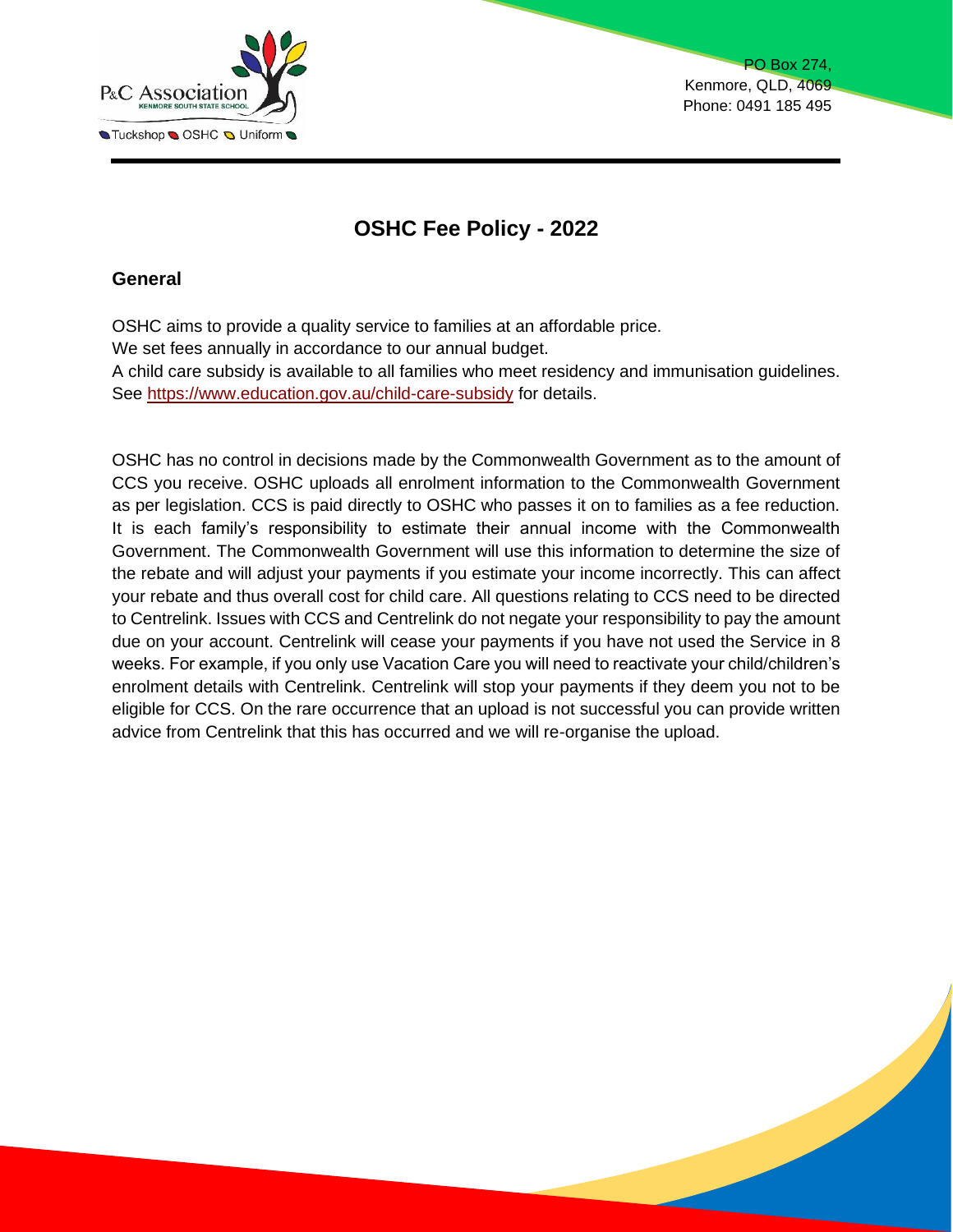

PO Box 274, Kenmore, QLD, 4069 Phone: 0491 185 495

# **OSHC Fee Policy - 2022**

## **General**

OSHC aims to provide a quality service to families at an affordable price. We set fees annually in accordance to our annual budget. A child care subsidy is available to all families who meet residency and immunisation guidelines. See<https://www.education.gov.au/child-care-subsidy> for details.

OSHC has no control in decisions made by the Commonwealth Government as to the amount of CCS you receive. OSHC uploads all enrolment information to the Commonwealth Government as per legislation. CCS is paid directly to OSHC who passes it on to families as a fee reduction. It is each family's responsibility to estimate their annual income with the Commonwealth Government. The Commonwealth Government will use this information to determine the size of the rebate and will adjust your payments if you estimate your income incorrectly. This can affect your rebate and thus overall cost for child care. All questions relating to CCS need to be directed to Centrelink. Issues with CCS and Centrelink do not negate your responsibility to pay the amount due on your account. Centrelink will cease your payments if you have not used the Service in 8 weeks. For example, if you only use Vacation Care you will need to reactivate your child/children's enrolment details with Centrelink. Centrelink will stop your payments if they deem you not to be eligible for CCS. On the rare occurrence that an upload is not successful you can provide written advice from Centrelink that this has occurred and we will re-organise the upload.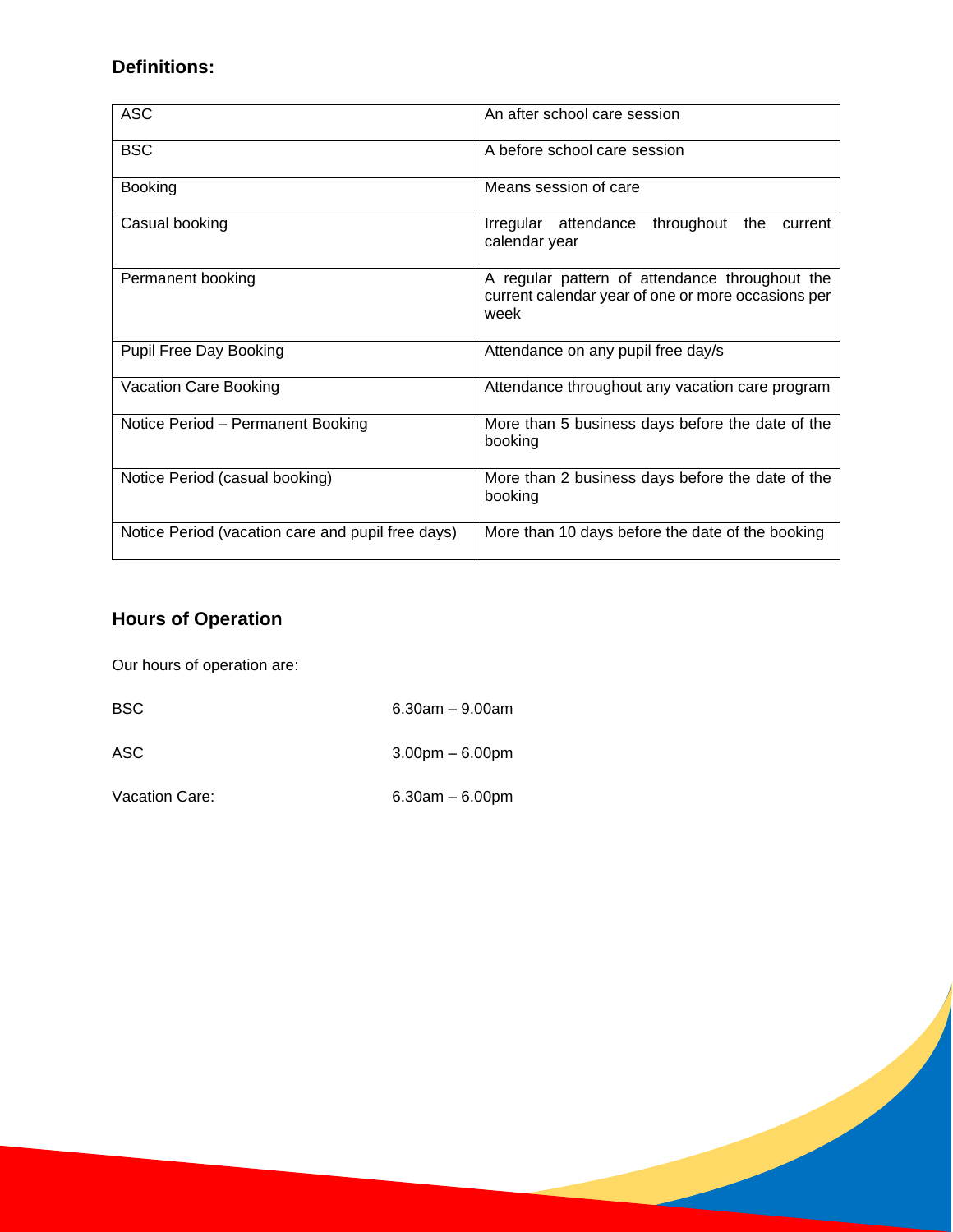# **Definitions:**

| <b>ASC</b>                                        | An after school care session                                                                                 |  |
|---------------------------------------------------|--------------------------------------------------------------------------------------------------------------|--|
| <b>BSC</b>                                        | A before school care session                                                                                 |  |
| <b>Booking</b>                                    | Means session of care                                                                                        |  |
| Casual booking                                    | throughout<br>the<br>Irregular attendance<br>current<br>calendar year                                        |  |
| Permanent booking                                 | A regular pattern of attendance throughout the<br>current calendar year of one or more occasions per<br>week |  |
| <b>Pupil Free Day Booking</b>                     | Attendance on any pupil free day/s                                                                           |  |
| Vacation Care Booking                             | Attendance throughout any vacation care program                                                              |  |
| Notice Period - Permanent Booking                 | More than 5 business days before the date of the<br>booking                                                  |  |
| Notice Period (casual booking)                    | More than 2 business days before the date of the<br>booking                                                  |  |
| Notice Period (vacation care and pupil free days) | More than 10 days before the date of the booking                                                             |  |

# **Hours of Operation**

Our hours of operation are:

BSC 6.30am – 9.00am

ASC 3.00pm – 6.00pm

Vacation Care: 6.30am – 6.00pm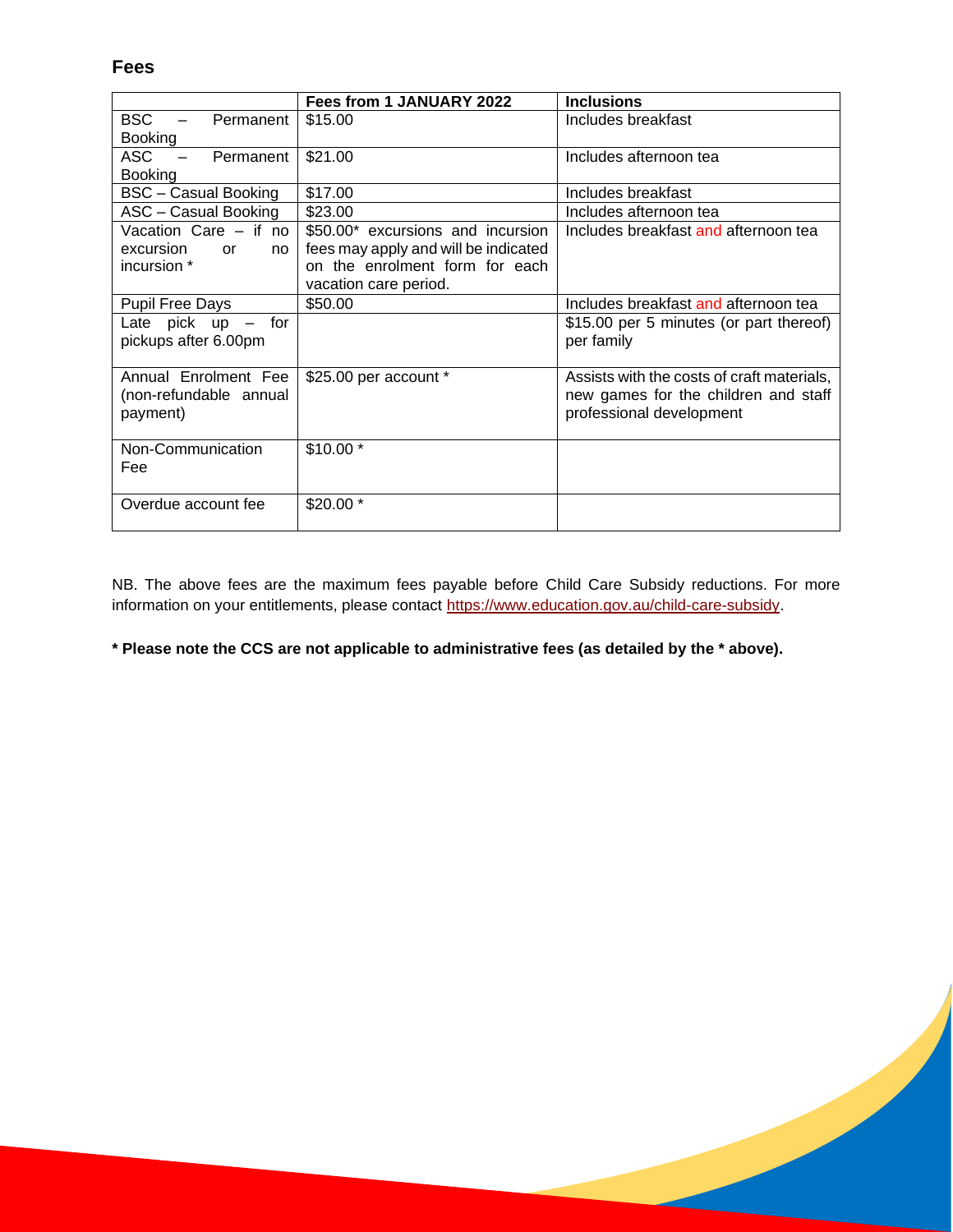**Fees**

|                                                     | Fees from 1 JANUARY 2022             | <b>Inclusions</b>                          |
|-----------------------------------------------------|--------------------------------------|--------------------------------------------|
| BSC.<br>Permanent                                   | \$15.00                              | Includes breakfast                         |
| <b>Booking</b>                                      |                                      |                                            |
| <b>ASC</b><br>Permanent<br>$\overline{\phantom{m}}$ | \$21.00                              | Includes afternoon tea                     |
| <b>Booking</b>                                      |                                      |                                            |
| BSC - Casual Booking                                | \$17.00                              | Includes breakfast                         |
| ASC - Casual Booking                                | \$23.00                              | Includes afternoon tea                     |
| Vacation Care - if no                               | \$50,00* excursions and incursion    | Includes breakfast and afternoon tea       |
| excursion<br>or<br>no                               | fees may apply and will be indicated |                                            |
| incursion *                                         | on the enrolment form for each       |                                            |
|                                                     | vacation care period.                |                                            |
| <b>Pupil Free Days</b>                              | \$50.00                              | Includes breakfast and afternoon tea       |
| Late $pick$ up $-$ for                              |                                      | \$15.00 per 5 minutes (or part thereof)    |
| pickups after 6.00pm                                |                                      | per family                                 |
|                                                     |                                      |                                            |
| Annual Enrolment Fee                                | \$25.00 per account *                | Assists with the costs of craft materials, |
| (non-refundable annual                              |                                      | new games for the children and staff       |
| payment)                                            |                                      | professional development                   |
|                                                     |                                      |                                            |
| Non-Communication                                   | $$10.00*$                            |                                            |
| Fee                                                 |                                      |                                            |
|                                                     |                                      |                                            |
| Overdue account fee                                 | \$20.00 *                            |                                            |
|                                                     |                                      |                                            |

NB. The above fees are the maximum fees payable before Child Care Subsidy reductions. For more information on your entitlements, please contact [https://www.education.gov.au/child-care-subsidy.](https://www.education.gov.au/child-care-subsidy)

**\* Please note the CCS are not applicable to administrative fees (as detailed by the \* above).**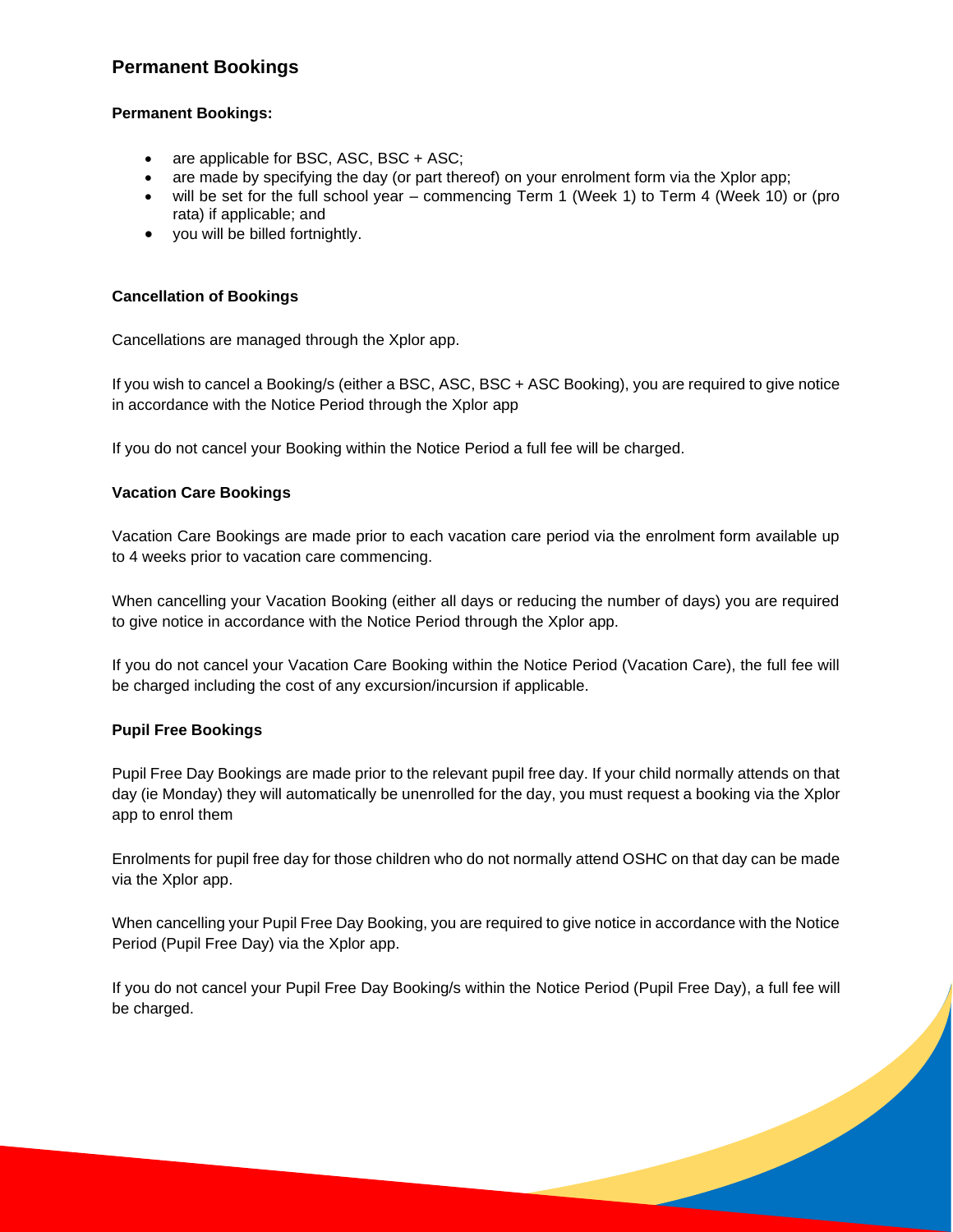## **Permanent Bookings**

## **Permanent Bookings:**

- are applicable for BSC, ASC, BSC + ASC;
- are made by specifying the day (or part thereof) on your enrolment form via the Xplor app;
- will be set for the full school year commencing Term 1 (Week 1) to Term 4 (Week 10) or (pro rata) if applicable; and
- you will be billed fortnightly.

### **Cancellation of Bookings**

Cancellations are managed through the Xplor app.

If you wish to cancel a Booking/s (either a BSC, ASC, BSC + ASC Booking), you are required to give notice in accordance with the Notice Period through the Xplor app

If you do not cancel your Booking within the Notice Period a full fee will be charged.

#### **Vacation Care Bookings**

Vacation Care Bookings are made prior to each vacation care period via the enrolment form available up to 4 weeks prior to vacation care commencing.

When cancelling your Vacation Booking (either all days or reducing the number of days) you are required to give notice in accordance with the Notice Period through the Xplor app.

If you do not cancel your Vacation Care Booking within the Notice Period (Vacation Care), the full fee will be charged including the cost of any excursion/incursion if applicable.

#### **Pupil Free Bookings**

Pupil Free Day Bookings are made prior to the relevant pupil free day. If your child normally attends on that day (ie Monday) they will automatically be unenrolled for the day, you must request a booking via the Xplor app to enrol them

Enrolments for pupil free day for those children who do not normally attend OSHC on that day can be made via the Xplor app.

When cancelling your Pupil Free Day Booking, you are required to give notice in accordance with the Notice Period (Pupil Free Day) via the Xplor app.

If you do not cancel your Pupil Free Day Booking/s within the Notice Period (Pupil Free Day), a full fee will be charged.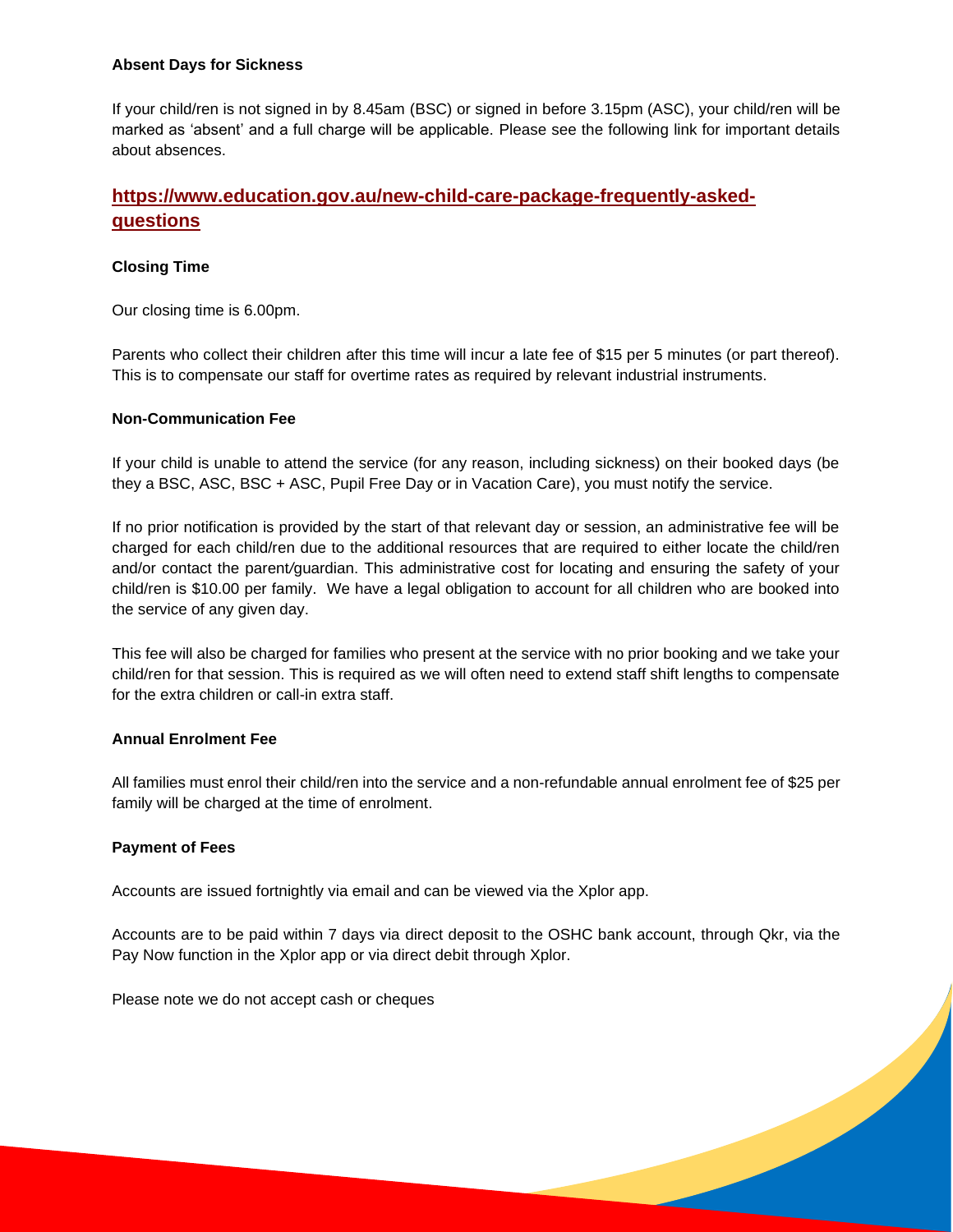#### **Absent Days for Sickness**

If your child/ren is not signed in by 8.45am (BSC) or signed in before 3.15pm (ASC), your child/ren will be marked as 'absent' and a full charge will be applicable. Please see the following link for important details about absences.

# **[https://www.education.gov.au/new-child-care-package-frequently-asked](https://www.education.gov.au/new-child-care-package-frequently-asked-questions)[questions](https://www.education.gov.au/new-child-care-package-frequently-asked-questions)**

## **Closing Time**

Our closing time is 6.00pm.

Parents who collect their children after this time will incur a late fee of \$15 per 5 minutes (or part thereof). This is to compensate our staff for overtime rates as required by relevant industrial instruments.

#### **Non-Communication Fee**

If your child is unable to attend the service (for any reason, including sickness) on their booked days (be they a BSC, ASC, BSC + ASC, Pupil Free Day or in Vacation Care), you must notify the service.

If no prior notification is provided by the start of that relevant day or session, an administrative fee will be charged for each child/ren due to the additional resources that are required to either locate the child/ren and/or contact the parent*/*guardian. This administrative cost for locating and ensuring the safety of your child/ren is \$10.00 per family. We have a legal obligation to account for all children who are booked into the service of any given day.

This fee will also be charged for families who present at the service with no prior booking and we take your child/ren for that session. This is required as we will often need to extend staff shift lengths to compensate for the extra children or call-in extra staff.

## **Annual Enrolment Fee**

All families must enrol their child/ren into the service and a non-refundable annual enrolment fee of \$25 per family will be charged at the time of enrolment.

#### **Payment of Fees**

Accounts are issued fortnightly via email and can be viewed via the Xplor app.

Accounts are to be paid within 7 days via direct deposit to the OSHC bank account, through Qkr, via the Pay Now function in the Xplor app or via direct debit through Xplor.

Please note we do not accept cash or cheques